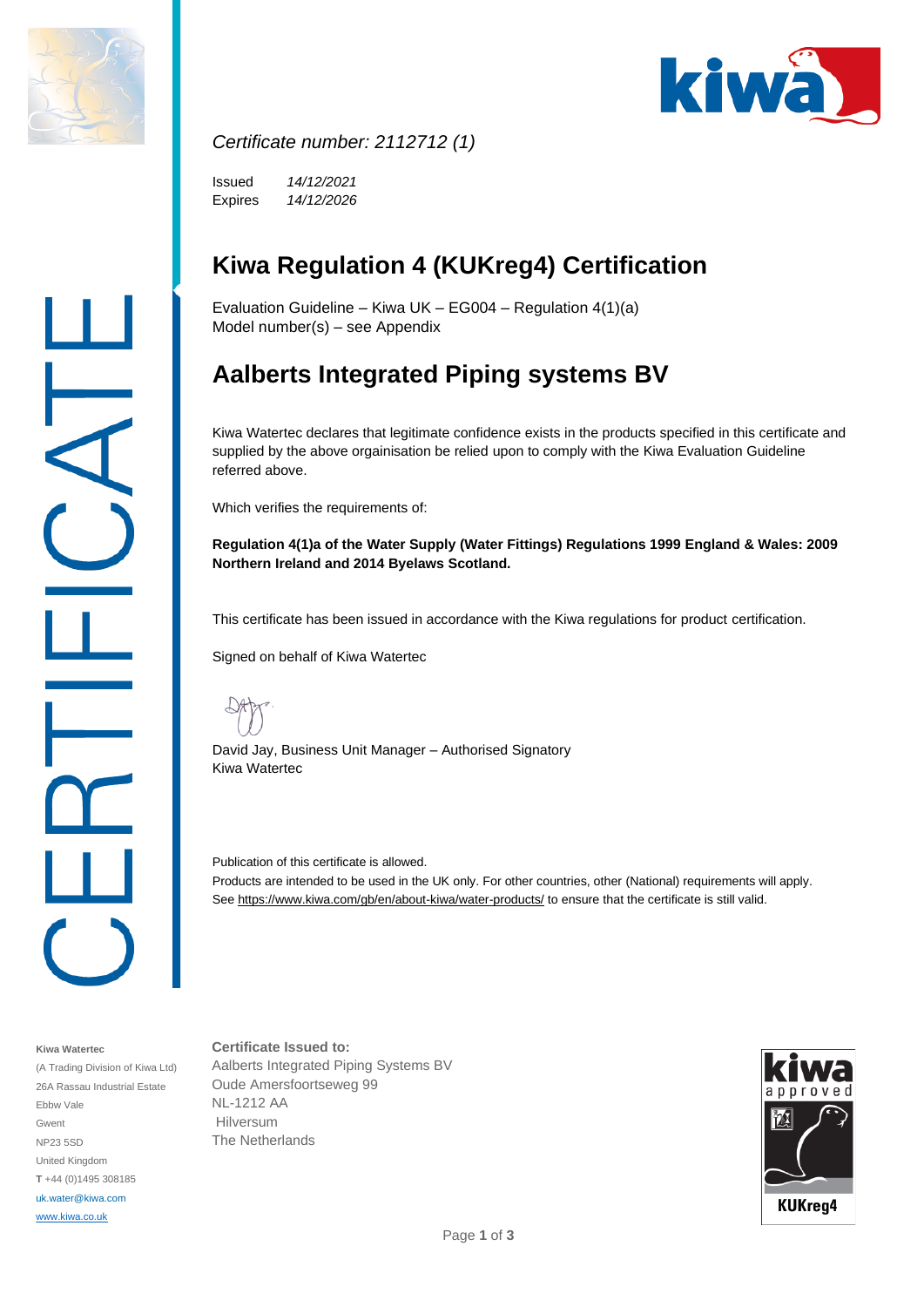



#### *Certificate number: 2112712 (1)*

Issued Expires *14/12/2021 14/12/2026*

# **Kiwa Regulation 4 (KUKreg4) Certification**

Evaluation Guideline – Kiwa UK – EG004 – Regulation 4(1)(a) Model number(s) – see Appendix

# **Aalberts Integrated Piping systems BV**

Kiwa Watertec declares that legitimate confidence exists in the products specified in this certificate and supplied by the above orgainisation be relied upon to comply with the Kiwa Evaluation Guideline referred above.

Which verifies the requirements of:

**Regulation 4(1)a of the Water Supply (Water Fittings) Regulations 1999 England & Wales: 2009 Northern Ireland and 2014 Byelaws Scotland.**

This certificate has been issued in accordance with the Kiwa regulations for product certification.

Signed on behalf of Kiwa Watertec

David Jay, Business Unit Manager – Authorised Signatory Kiwa Watertec

Publication of this certificate is allowed. Products are intended to be used in the UK only. For other countries, other (National) requirements will apply. Se[e https://www.kiwa.com/gb/en/about-kiwa/water-products/](https://www.kiwa.com/gb/en/about-kiwa/water-products/) to ensure that the certificate is still valid.

#### **Kiwa Watertec**

(A Trading Division of Kiwa Ltd) 26A Rassau Industrial Estate Ebbw Vale Gwent NP23 5SD United Kingdom **T** +44 (0)1495 308185 uk.water@kiwa.com [www.kiwa.co.uk](http://www.kiwa.co.uk/)

**Certificate Issued to:** Aalberts Integrated Piping Systems BV Oude Amersfoortseweg 99 NL-1212 AA Hilversum The Netherlands

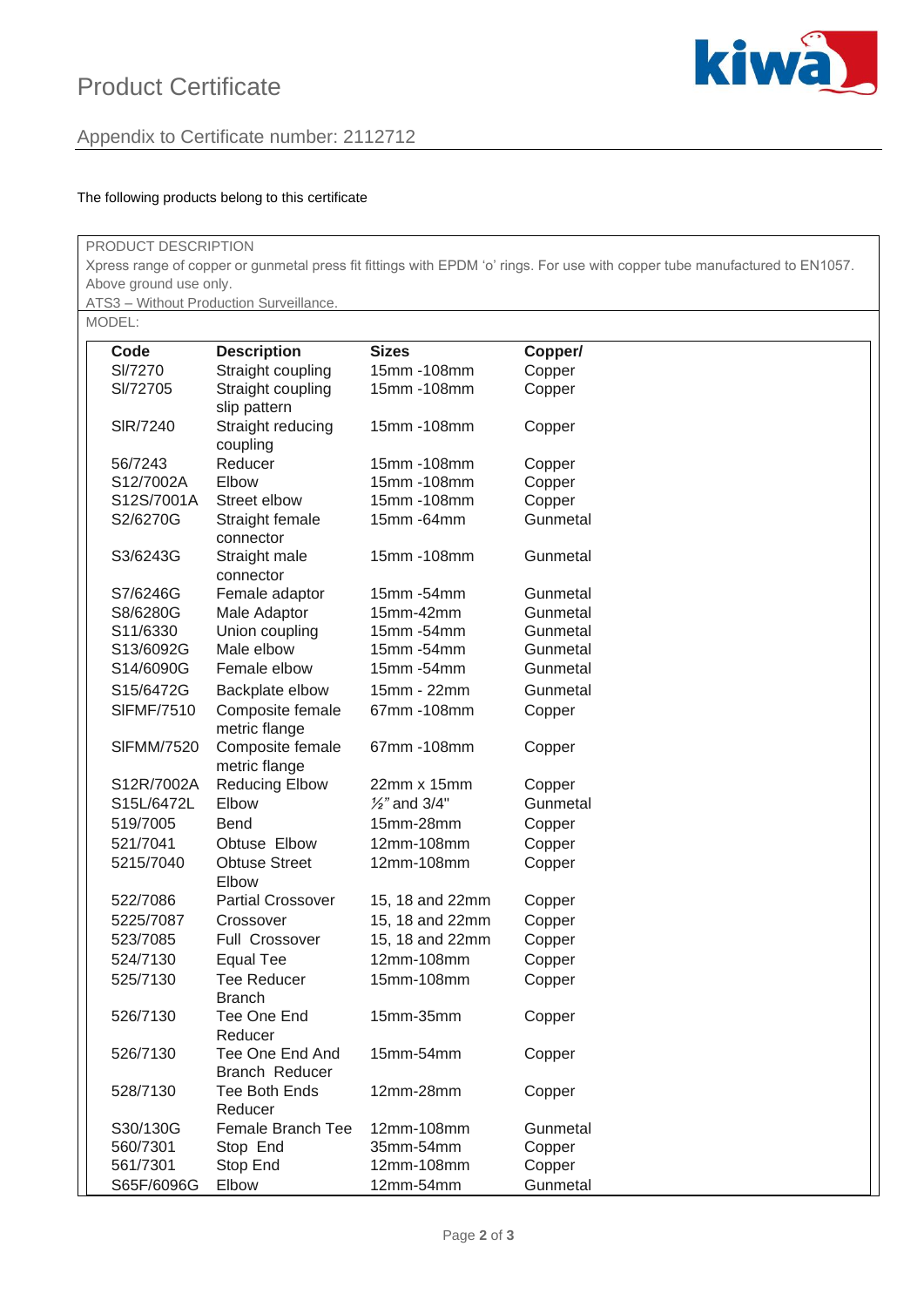## Product Certificate





#### The following products belong to this certificate

| PRODUCT DESCRIPTION                                                                                                                                                                              |                      |                                        |                               |          |  |  |  |  |  |  |        |                    |              |         |
|--------------------------------------------------------------------------------------------------------------------------------------------------------------------------------------------------|----------------------|----------------------------------------|-------------------------------|----------|--|--|--|--|--|--|--------|--------------------|--------------|---------|
| Xpress range of copper or gunmetal press fit fittings with EPDM 'o' rings. For use with copper tube manufactured to EN1057.<br>Above ground use only.<br>ATS3 - Without Production Surveillance. |                      |                                        |                               |          |  |  |  |  |  |  |        |                    |              |         |
|                                                                                                                                                                                                  |                      |                                        |                               |          |  |  |  |  |  |  | MODEL: |                    |              |         |
|                                                                                                                                                                                                  |                      |                                        |                               |          |  |  |  |  |  |  | Code   | <b>Description</b> | <b>Sizes</b> | Copper/ |
|                                                                                                                                                                                                  | SI/7270              | Straight coupling                      | 15mm-108mm                    | Copper   |  |  |  |  |  |  |        |                    |              |         |
|                                                                                                                                                                                                  | SI/72705             | Straight coupling                      | 15mm-108mm                    | Copper   |  |  |  |  |  |  |        |                    |              |         |
|                                                                                                                                                                                                  |                      | slip pattern                           |                               |          |  |  |  |  |  |  |        |                    |              |         |
|                                                                                                                                                                                                  | SIR/7240             | Straight reducing                      | 15mm-108mm                    | Copper   |  |  |  |  |  |  |        |                    |              |         |
|                                                                                                                                                                                                  |                      | coupling                               |                               |          |  |  |  |  |  |  |        |                    |              |         |
|                                                                                                                                                                                                  | 56/7243              | Reducer                                | 15mm-108mm                    | Copper   |  |  |  |  |  |  |        |                    |              |         |
|                                                                                                                                                                                                  | S12/7002A            | Elbow                                  | 15mm-108mm                    | Copper   |  |  |  |  |  |  |        |                    |              |         |
|                                                                                                                                                                                                  | S12S/7001A           | Street elbow                           | 15mm-108mm                    | Copper   |  |  |  |  |  |  |        |                    |              |         |
|                                                                                                                                                                                                  | S2/6270G             | Straight female                        | 15mm - 64mm                   | Gunmetal |  |  |  |  |  |  |        |                    |              |         |
|                                                                                                                                                                                                  |                      | connector                              |                               |          |  |  |  |  |  |  |        |                    |              |         |
|                                                                                                                                                                                                  | S3/6243G             | Straight male                          | 15mm-108mm                    | Gunmetal |  |  |  |  |  |  |        |                    |              |         |
|                                                                                                                                                                                                  |                      | connector                              |                               |          |  |  |  |  |  |  |        |                    |              |         |
|                                                                                                                                                                                                  | S7/6246G             | Female adaptor                         | 15mm -54mm                    | Gunmetal |  |  |  |  |  |  |        |                    |              |         |
|                                                                                                                                                                                                  | S8/6280G             | Male Adaptor                           | 15mm-42mm                     | Gunmetal |  |  |  |  |  |  |        |                    |              |         |
|                                                                                                                                                                                                  | S11/6330             | Union coupling                         | 15mm -54mm                    | Gunmetal |  |  |  |  |  |  |        |                    |              |         |
|                                                                                                                                                                                                  | S13/6092G            | Male elbow                             | 15mm -54mm                    | Gunmetal |  |  |  |  |  |  |        |                    |              |         |
|                                                                                                                                                                                                  | S14/6090G            | Female elbow                           | 15mm -54mm                    | Gunmetal |  |  |  |  |  |  |        |                    |              |         |
|                                                                                                                                                                                                  | S15/6472G            | Backplate elbow                        | 15mm - 22mm                   | Gunmetal |  |  |  |  |  |  |        |                    |              |         |
|                                                                                                                                                                                                  | <b>SIFMF/7510</b>    | Composite female                       | 67mm-108mm                    | Copper   |  |  |  |  |  |  |        |                    |              |         |
|                                                                                                                                                                                                  |                      | metric flange                          |                               |          |  |  |  |  |  |  |        |                    |              |         |
|                                                                                                                                                                                                  | <b>SIFMM/7520</b>    | Composite female                       | 67mm-108mm                    | Copper   |  |  |  |  |  |  |        |                    |              |         |
|                                                                                                                                                                                                  |                      | metric flange                          |                               |          |  |  |  |  |  |  |        |                    |              |         |
|                                                                                                                                                                                                  | S12R/7002A           | <b>Reducing Elbow</b>                  | 22mm x 15mm                   | Copper   |  |  |  |  |  |  |        |                    |              |         |
|                                                                                                                                                                                                  | S15L/6472L           | Elbow                                  | $\frac{1}{2}$ " and 3/4"      | Gunmetal |  |  |  |  |  |  |        |                    |              |         |
|                                                                                                                                                                                                  | 519/7005             | Bend                                   | 15mm-28mm                     | Copper   |  |  |  |  |  |  |        |                    |              |         |
|                                                                                                                                                                                                  | 521/7041             | Obtuse Elbow                           | 12mm-108mm                    | Copper   |  |  |  |  |  |  |        |                    |              |         |
|                                                                                                                                                                                                  | 5215/7040            | <b>Obtuse Street</b>                   | 12mm-108mm                    | Copper   |  |  |  |  |  |  |        |                    |              |         |
|                                                                                                                                                                                                  |                      | Elbow                                  |                               |          |  |  |  |  |  |  |        |                    |              |         |
|                                                                                                                                                                                                  | 522/7086             | <b>Partial Crossover</b>               | 15, 18 and 22mm               | Copper   |  |  |  |  |  |  |        |                    |              |         |
|                                                                                                                                                                                                  | 5225/7087            | Crossover                              | 15, 18 and 22mm               | Copper   |  |  |  |  |  |  |        |                    |              |         |
|                                                                                                                                                                                                  |                      | <b>Full Crossover</b>                  |                               |          |  |  |  |  |  |  |        |                    |              |         |
|                                                                                                                                                                                                  | 523/7085<br>524/7130 |                                        | 15, 18 and 22mm<br>12mm-108mm | Copper   |  |  |  |  |  |  |        |                    |              |         |
|                                                                                                                                                                                                  |                      | <b>Equal Tee</b><br><b>Tee Reducer</b> |                               | Copper   |  |  |  |  |  |  |        |                    |              |         |
|                                                                                                                                                                                                  | 525/7130             | <b>Branch</b>                          | 15mm-108mm                    | Copper   |  |  |  |  |  |  |        |                    |              |         |
|                                                                                                                                                                                                  | 526/7130             | Tee One End                            | 15mm-35mm                     |          |  |  |  |  |  |  |        |                    |              |         |
|                                                                                                                                                                                                  |                      | Reducer                                |                               | Copper   |  |  |  |  |  |  |        |                    |              |         |
|                                                                                                                                                                                                  | 526/7130             | Tee One End And                        | 15mm-54mm                     |          |  |  |  |  |  |  |        |                    |              |         |
|                                                                                                                                                                                                  |                      | Branch Reducer                         |                               | Copper   |  |  |  |  |  |  |        |                    |              |         |
|                                                                                                                                                                                                  | 528/7130             | <b>Tee Both Ends</b>                   | 12mm-28mm                     |          |  |  |  |  |  |  |        |                    |              |         |
|                                                                                                                                                                                                  |                      | Reducer                                |                               | Copper   |  |  |  |  |  |  |        |                    |              |         |
|                                                                                                                                                                                                  | S30/130G             | Female Branch Tee                      | 12mm-108mm                    | Gunmetal |  |  |  |  |  |  |        |                    |              |         |
|                                                                                                                                                                                                  | 560/7301             | Stop End                               | 35mm-54mm                     | Copper   |  |  |  |  |  |  |        |                    |              |         |
|                                                                                                                                                                                                  | 561/7301             | Stop End                               | 12mm-108mm                    | Copper   |  |  |  |  |  |  |        |                    |              |         |
|                                                                                                                                                                                                  | S65F/6096G           | Elbow                                  | 12mm-54mm                     | Gunmetal |  |  |  |  |  |  |        |                    |              |         |
|                                                                                                                                                                                                  |                      |                                        |                               |          |  |  |  |  |  |  |        |                    |              |         |